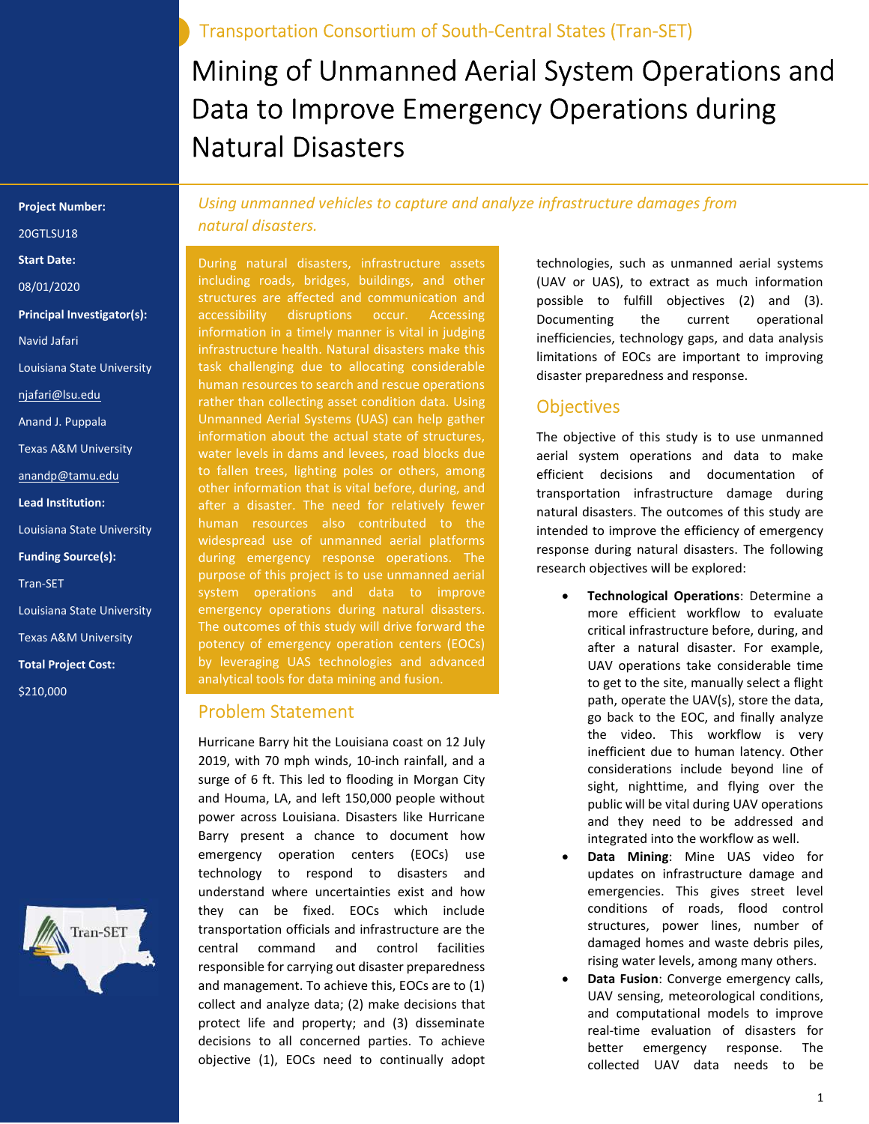Transportation Consortium of South-Central States (Tran-SET)

# Mining of Unmanned Aerial System Operations and Data to Improve Emergency Operations during Natural Disasters

Project Number:

20GTLSU18

Start Date:

08/01/2020

Principal Investigator(s):

Navid Jafari

Louisiana State University

njafari@lsu.edu

Anand J. Puppala

Texas A&M University

anandp@tamu.edu

Lead Institution:

Louisiana State University

Funding Source(s):

Tran-SET

Louisiana State University

Texas A&M University

Total Project Cost:

\$210,000



Using unmanned vehicles to capture and analyze infrastructure damages from natural disasters.

During natural disasters, infrastructure assets including roads, bridges, buildings, and other structures are affected and communication and accessibility disruptions occur. Accessing information in a timely manner is vital in judging infrastructure health. Natural disasters make this task challenging due to allocating considerable human resources to search and rescue operations rather than collecting asset condition data. Using Unmanned Aerial Systems (UAS) can help gather information about the actual state of structures, water levels in dams and levees, road blocks due to fallen trees, lighting poles or others, among other information that is vital before, during, and after a disaster. The need for relatively fewer human resources also contributed to the widespread use of unmanned aerial platforms during emergency response operations. The purpose of this project is to use unmanned aerial system operations and data to improve emergency operations during natural disasters. The outcomes of this study will drive forward the potency of emergency operation centers (EOCs) by leveraging UAS technologies and advanced analytical tools for data mining and fusion.

#### Problem Statement

Hurricane Barry hit the Louisiana coast on 12 July 2019, with 70 mph winds, 10-inch rainfall, and a surge of 6 ft. This led to flooding in Morgan City and Houma, LA, and left 150,000 people without power across Louisiana. Disasters like Hurricane Barry present a chance to document how emergency operation centers (EOCs) use technology to respond to disasters and understand where uncertainties exist and how they can be fixed. EOCs which include transportation officials and infrastructure are the central command and control facilities responsible for carrying out disaster preparedness and management. To achieve this, EOCs are to (1) collect and analyze data; (2) make decisions that protect life and property; and (3) disseminate decisions to all concerned parties. To achieve objective (1), EOCs need to continually adopt

technologies, such as unmanned aerial systems (UAV or UAS), to extract as much information possible to fulfill objectives (2) and (3). Documenting the current operational inefficiencies, technology gaps, and data analysis limitations of EOCs are important to improving disaster preparedness and response.

## **Objectives**

The objective of this study is to use unmanned aerial system operations and data to make efficient decisions and documentation of transportation infrastructure damage during natural disasters. The outcomes of this study are intended to improve the efficiency of emergency response during natural disasters. The following research objectives will be explored:

- Technological Operations: Determine a more efficient workflow to evaluate critical infrastructure before, during, and after a natural disaster. For example, UAV operations take considerable time to get to the site, manually select a flight path, operate the UAV(s), store the data, go back to the EOC, and finally analyze the video. This workflow is very inefficient due to human latency. Other considerations include beyond line of sight, nighttime, and flying over the public will be vital during UAV operations and they need to be addressed and integrated into the workflow as well.
- Data Mining: Mine UAS video for updates on infrastructure damage and emergencies. This gives street level conditions of roads, flood control structures, power lines, number of damaged homes and waste debris piles, rising water levels, among many others.
- Data Fusion: Converge emergency calls, UAV sensing, meteorological conditions, and computational models to improve real-time evaluation of disasters for better emergency response. The collected UAV data needs to be